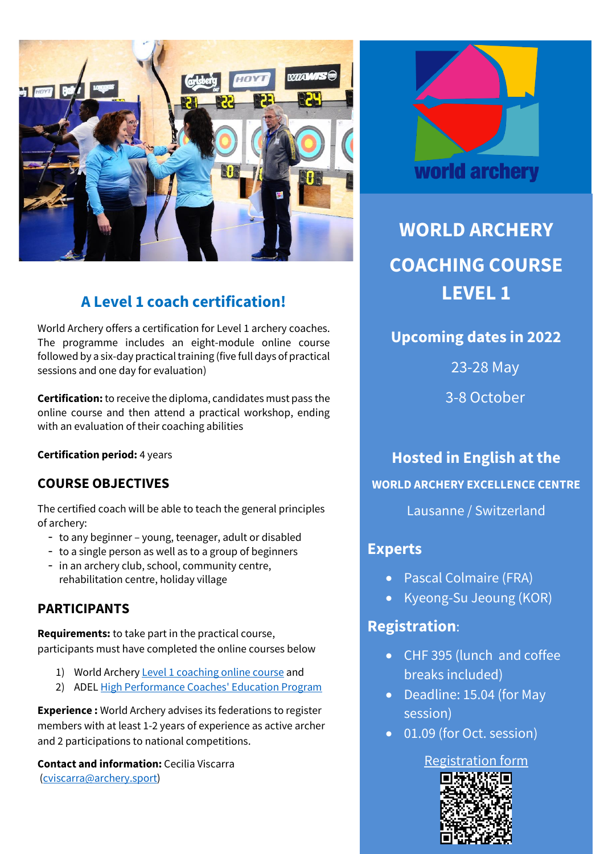

# **A Level 1 coach certification!**

World Archery offers a certification for Level 1 archery coaches. The programme includes an eight-module online course followed by a six-day practical training (five full days of practical sessions and one day for evaluation)

**Certification:**to receive the diploma, candidates must pass the online course and then attend a practical workshop, ending with an evaluation of their coaching abilities

**Certification period:** 4 years

### **COURSE OBJECTIVES**

The certified coach will be able to teach the general principles of archery:

- to any beginner young, teenager, adult or disabled
- to a single person as well as to a group of beginners
- in an archery club, school, community centre, rehabilitation centre, holiday village

### **PARTICIPANTS**

**Requirements:** to take part in the practical course, participants must have completed the online courses below

- 1) World Archery Level [1 coaching online course](https://extranet.worldarchery.sport/documents/index.php/Members/Education/Online_courses/Online_Course_for_Coaches_Level_1.pdf) and
- 2) ADEL [High Performance Coaches' Education Program](https://adel.wada-ama.org/learn/public/learning_plan/view/7/high-performance-coaches-education-program-english)

**Experience :** World Archery advises its federations to register members with at least 1-2 years of experience as active archer and 2 participations to national competitions.

**Contact and information:** Cecilia Viscarra [\(cviscarra@archery.sport\)](mailto:cviscarra@archery.sport)



**WORLD ARCHERY COACHING COURSE LEVEL 1** 

**Upcoming dates in 2022**

23-28 May

3-8 October

**Hosted in English at the WORLD ARCHERY EXCELLENCE CENTRE** Lausanne / Switzerland

## **Experts**

- Pascal Colmaire (FRA)
- Kyeong-Su Jeoung (KOR)

## **Registration**:

- CHF 395 (lunch and coffee breaks included)
- Deadline: 15.04 (for May session)
- 01.09 (for Oct. session)

## [Registration](https://www.surveymonkey.com/r/RWSBZHR) form